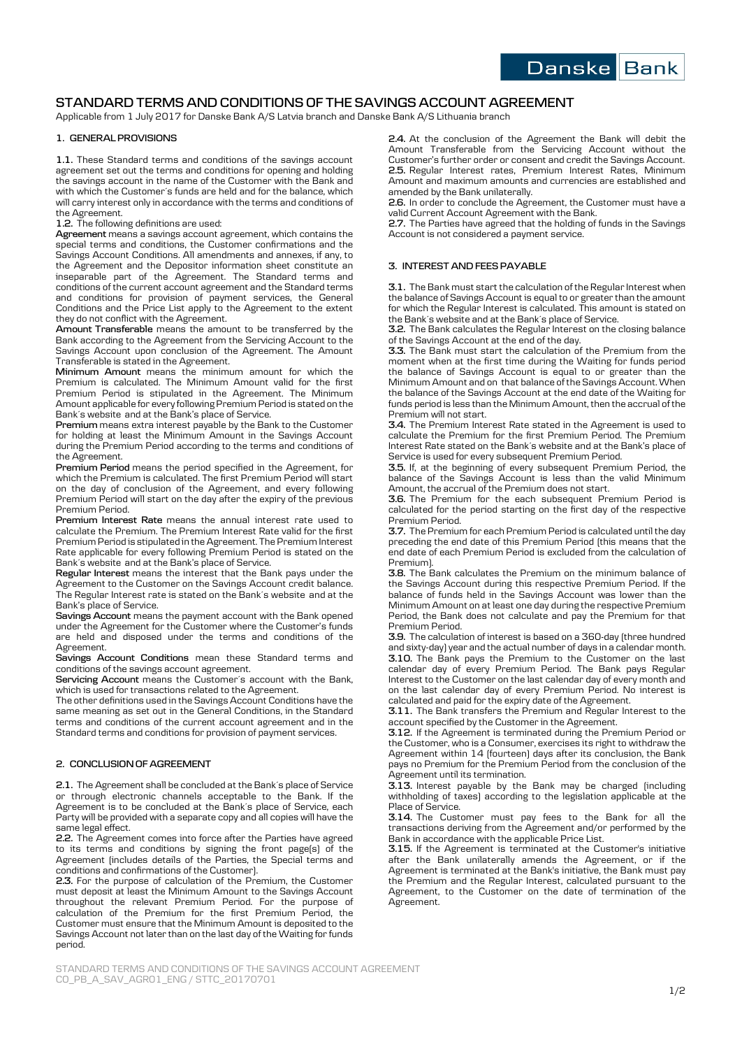

# **STANDARD TERMS AND CONDITIONS OF THE SAVINGS ACCOUNT AGREEMENT**

Applicable from 1 July 2017 for Danske Bank A/S Latvia branch and Danske Bank A/S Lithuania branch

## **1. GENERAL PROVISIONS**

**1.1.** These Standard terms and conditions of the savings account agreement set out the terms and conditions for opening and holding the savings account in the name of the Customer with the Bank and with which the Customer´s funds are held and for the balance, which will carry interest only in accordance with the terms and conditions of the Agreement.

## **1.2.** The following definitions are used:

**Agreement** means a savings account agreement, which contains the special terms and conditions, the Customer confirmations and the Savings Account Conditions. All amendments and annexes, if any, to the Agreement and the Depositor information sheet constitute an inseparable part of the Agreement. The Standard terms and conditions of the current account agreement and the Standard terms and conditions for provision of payment services, the General Conditions and the Price List apply to the Agreement to the extent they do not conflict with the Agreement.

**Amount Transferable** means the amount to be transferred by the Bank according to the Agreement from the Servicing Account to the Savings Account upon conclusion of the Agreement. The Amount Transferable is stated in the Agreement.

**Minimum Amount** means the minimum amount for which the Premium is calculated. The Minimum Amount valid for the first Premium Period is stipulated in the Agreement. The Minimum Amount applicable for every following Premium Period is stated on the Bank´s website and at the Bank's place of Service.

**Premium** means extra interest payable by the Bank to the Customer for holding at least the Minimum Amount in the Savings Account during the Premium Period according to the terms and conditions of the Agreement.

**Premium Period** means the period specified in the Agreement, for which the Premium is calculated. The first Premium Period will start on the day of conclusion of the Agreement, and every following Premium Period will start on the day after the expiry of the previous Premium Period.

**Premium Interest Rate** means the annual interest rate used to calculate the Premium. The Premium Interest Rate valid for the first Premium Period is stipulated in the Agreement. The Premium Interest Rate applicable for every following Premium Period is stated on the Bank´s website and at the Bank's place of Service.

**Regular Interest** means the interest that the Bank pays under the Agreement to the Customer on the Savings Account credit balance. The Regular Interest rate is stated on the Bank´s website and at the Bank's place of Service.

**Savings Account** means the payment account with the Bank opened under the Agreement for the Customer where the Customer's funds are held and disposed under the terms and conditions of the Agreement.

**Savings Account Conditions** mean these Standard terms and conditions of the savings account agreement.

**Servicing Account** means the Customer´s account with the Bank, which is used for transactions related to the Agreement.

The other definitions used in the Savings Account Conditions have the same meaning as set out in the General Conditions, in the Standard terms and conditions of the current account agreement and in the Standard terms and conditions for provision of payment services.

#### **2. CONCLUSION OF AGREEMENT**

**2.1.** The Agreement shall be concluded at the Bank´s place of Service or through electronic channels acceptable to the Bank. If the Agreement is to be concluded at the Bank´s place of Service, each Party will be provided with a separate copy and all copies will have the same legal effect.

**2.2.** The Agreement comes into force after the Parties have agreed to its terms and conditions by signing the front page(s) of the Agreement (includes details of the Parties, the Special terms and conditions and confirmations of the Customer).

**2.3.** For the purpose of calculation of the Premium, the Customer must deposit at least the Minimum Amount to the Savings Account throughout the relevant Premium Period. For the purpose of calculation of the Premium for the first Premium Period, the Customer must ensure that the Minimum Amount is deposited to the Savings Account not later than on the last day of the Waiting for funds period.

**2.4.** At the conclusion of the Agreement the Bank will debit the Amount Transferable from the Servicing Account without the Customer's further order or consent and credit the Savings Account. **2.5.** Regular Interest rates, Premium Interest Rates, Minimum Amount and maximum amounts and currencies are established and amended by the Bank unilaterally.

**2.6.** In order to conclude the Agreement, the Customer must have a valid Current Account Agreement with the Bank.

**2.7.** The Parties have agreed that the holding of funds in the Savings Account is not considered a payment service.

# **3. INTEREST AND FEES PAYABLE**

**3.1.** The Bank must start the calculation of the Regular Interest when the balance of Savings Account is equal to or greater than the amount for which the Regular Interest is calculated. This amount is stated on the Bank´s website and at the Bank´s place of Service.

**3.2.** The Bank calculates the Regular Interest on the closing balance of the Savings Account at the end of the day.

**3.3.** The Bank must start the calculation of the Premium from the moment when at the first time during the Waiting for funds period the balance of Savings Account is equal to or greater than the Minimum Amount and on that balance of the Savings Account. When the balance of the Savings Account at the end date of the Waiting for funds period is less than the Minimum Amount, then the accrual of the Premium will not start.

**3.4.** The Premium Interest Rate stated in the Agreement is used to calculate the Premium for the first Premium Period. The Premium Interest Rate stated on the Bank´s website and at the Bank's place of Service is used for every subsequent Premium Period.

**3.5.** If, at the beginning of every subsequent Premium Period, the balance of the Savings Account is less than the valid Minimum Amount, the accrual of the Premium does not start.

**3.6.** The Premium for the each subsequent Premium Period is calculated for the period starting on the first day of the respective Premium Period.

**3.7.** The Premium for each Premium Period is calculated until the day preceding the end date of this Premium Period (this means that the end date of each Premium Period is excluded from the calculation of Premium).

**3.8.** The Bank calculates the Premium on the minimum balance of the Savings Account during this respective Premium Period. If the balance of funds held in the Savings Account was lower than the Minimum Amount on at least one day during the respective Premium Period, the Bank does not calculate and pay the Premium for that Premium Period.

**3.9.** The calculation of interest is based on a 360-day (three hundred and sixty-day) year and the actual number of days in a calendar month. **3.10.** The Bank pays the Premium to the Customer on the last calendar day of every Premium Period. The Bank pays Regular Interest to the Customer on the last calendar day of every month and on the last calendar day of every Premium Period. No interest is calculated and paid for the expiry date of the Agreement.

**3.11.** The Bank transfers the Premium and Regular Interest to the account specified by the Customer in the Agreement.

**3.12.** If the Agreement is terminated during the Premium Period or the Customer, who is a Consumer, exercises its right to withdraw the Agreement within 14 (fourteen) days after its conclusion, the Bank pays no Premium for the Premium Period from the conclusion of the Agreement until its termination.

**3.13.** Interest payable by the Bank may be charged (including withholding of taxes) according to the legislation applicable at the Place of Service.

**3.14.** The Customer must pay fees to the Bank for all the transactions deriving from the Agreement and/or performed by the Bank in accordance with the applicable Price List.

**3.15.** If the Agreement is terminated at the Customer's initiative after the Bank unilaterally amends the Agreement, or if the Agreement is terminated at the Bank's initiative, the Bank must pay the Premium and the Regular Interest, calculated pursuant to the Agreement, to the Customer on the date of termination of the Agreement.

STANDARD TERMS AND CONDITIONS OF THE SAVINGS ACCOUNT AGREEMENT CO\_PB\_A\_SAV\_AGR01\_ENG / STTC\_20170701